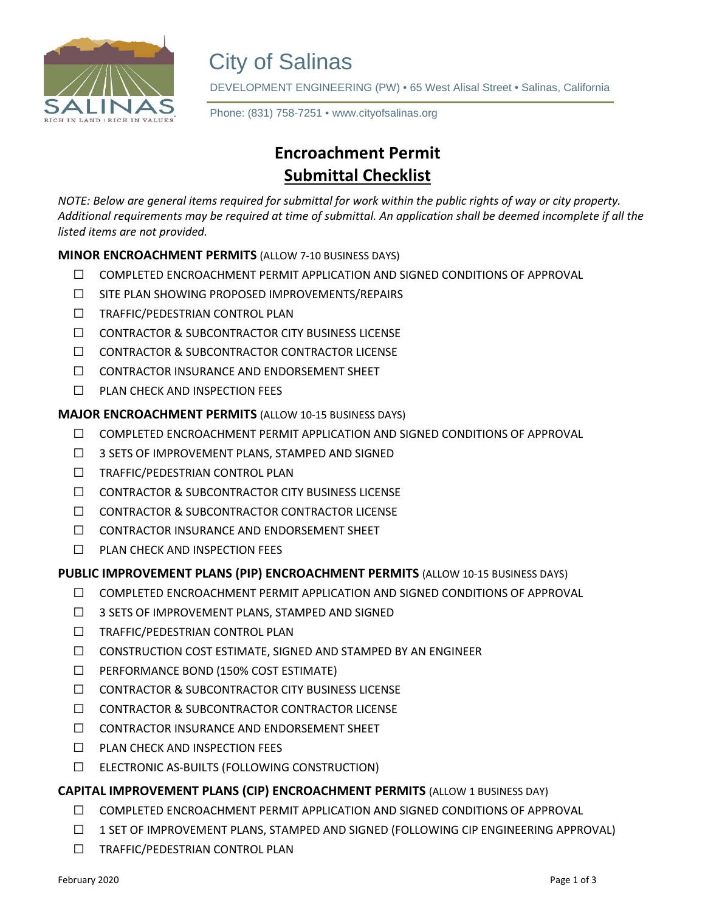

City of Salinas<br>DEVELOPMENT ENGINEERING (PW) • 65 West Alisal Street • Salinas, California

**Phone: (831) 758-7251 • www.cityofsalinas.org** Phone: (831) 758-7251 • www.cityofsalinas.org

# **Encroachment Permit Submittal Checklist**

*NOTE: Below are general items required for submittal for work within the public rights of way or city property. Additional requirements may be required at time of submittal. An application shall be deemed incomplete if all the listed items are not provided.*

# **MINOR ENCROACHMENT PERMITS** (ALLOW 7-10 BUSINESS DAYS)

- $\Box$  COMPLETED ENCROACHMENT PERMIT APPLICATION AND SIGNED CONDITIONS OF APPROVAL
- ⃣ SITE PLAN SHOWING PROPOSED IMPROVEMENTS/REPAIRS
- ⃣ TRAFFIC/PEDESTRIAN CONTROL PLAN
- ⃣ CONTRACTOR & SUBCONTRACTOR CITY BUSINESS LICENSE
- □ CONTRACTOR & SUBCONTRACTOR CONTRACTOR LICENSE
- ⃣ CONTRACTOR INSURANCE AND ENDORSEMENT SHEET
- ⃣ PLAN CHECK AND INSPECTION FEES

**MAJOR ENCROACHMENT PERMITS** (ALLOW 10-15 BUSINESS DAYS)

- $\Box$  COMPLETED ENCROACHMENT PERMIT APPLICATION AND SIGNED CONDITIONS OF APPROVAL
- ⃣ 3 SETS OF IMPROVEMENT PLANS, STAMPED AND SIGNED
- ⃣ TRAFFIC/PEDESTRIAN CONTROL PLAN
- ⃣ CONTRACTOR & SUBCONTRACTOR CITY BUSINESS LICENSE
- □ CONTRACTOR & SUBCONTRACTOR CONTRACTOR LICENSE
- ⃣ CONTRACTOR INSURANCE AND ENDORSEMENT SHEET
- ⃣ PLAN CHECK AND INSPECTION FEES

# **PUBLIC IMPROVEMENT PLANS (PIP) ENCROACHMENT PERMITS** (ALLOW 10-15 BUSINESS DAYS)

- ⃣ COMPLETED ENCROACHMENT PERMIT APPLICATION AND SIGNED CONDITIONS OF APPROVAL
- ⃣ 3 SETS OF IMPROVEMENT PLANS, STAMPED AND SIGNED
- ⃣ TRAFFIC/PEDESTRIAN CONTROL PLAN
- ⃣ CONSTRUCTION COST ESTIMATE, SIGNED AND STAMPED BY AN ENGINEER
- ⃣ PERFORMANCE BOND (150% COST ESTIMATE)
- ⃣ CONTRACTOR & SUBCONTRACTOR CITY BUSINESS LICENSE
- □ CONTRACTOR & SUBCONTRACTOR CONTRACTOR LICENSE
- ⃣ CONTRACTOR INSURANCE AND ENDORSEMENT SHEET
- ⃣ PLAN CHECK AND INSPECTION FEES
- ⃣ ELECTRONIC AS-BUILTS (FOLLOWING CONSTRUCTION)

# **CAPITAL IMPROVEMENT PLANS (CIP) ENCROACHMENT PERMITS** (ALLOW 1 BUSINESS DAY)

- ⃣ COMPLETED ENCROACHMENT PERMIT APPLICATION AND SIGNED CONDITIONS OF APPROVAL
- ⃣ 1 SET OF IMPROVEMENT PLANS, STAMPED AND SIGNED (FOLLOWING CIP ENGINEERING APPROVAL)
- ⃣ TRAFFIC/PEDESTRIAN CONTROL PLAN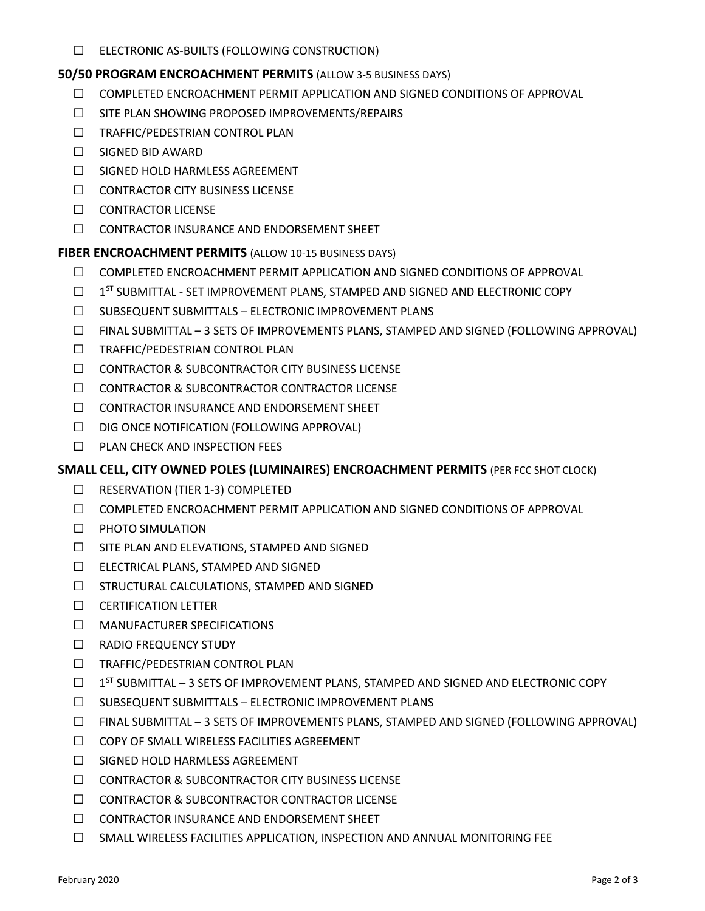⃣ ELECTRONIC AS-BUILTS (FOLLOWING CONSTRUCTION)

### **50/50 PROGRAM ENCROACHMENT PERMITS** (ALLOW 3-5 BUSINESS DAYS)

- $\Box$  COMPLETED ENCROACHMENT PERMIT APPLICATION AND SIGNED CONDITIONS OF APPROVAL
- ⃣ SITE PLAN SHOWING PROPOSED IMPROVEMENTS/REPAIRS
- ⃣ TRAFFIC/PEDESTRIAN CONTROL PLAN
- ⃣ SIGNED BID AWARD
- ⃣ SIGNED HOLD HARMLESS AGREEMENT
- ⃣ CONTRACTOR CITY BUSINESS LICENSE
- □ CONTRACTOR LICENSE
- ⃣ CONTRACTOR INSURANCE AND ENDORSEMENT SHEET

**FIBER ENCROACHMENT PERMITS** (ALLOW 10-15 BUSINESS DAYS)

- ⃣ COMPLETED ENCROACHMENT PERMIT APPLICATION AND SIGNED CONDITIONS OF APPROVAL
- $\Box$  1<sup>ST</sup> SUBMITTAL SET IMPROVEMENT PLANS, STAMPED AND SIGNED AND ELECTRONIC COPY
- ⃣ SUBSEQUENT SUBMITTALS ELECTRONIC IMPROVEMENT PLANS
- ⃣ FINAL SUBMITTAL 3 SETS OF IMPROVEMENTS PLANS, STAMPED AND SIGNED (FOLLOWING APPROVAL)
- ⃣ TRAFFIC/PEDESTRIAN CONTROL PLAN
- ⃣ CONTRACTOR & SUBCONTRACTOR CITY BUSINESS LICENSE
- □ CONTRACTOR & SUBCONTRACTOR CONTRACTOR LICENSE
- ⃣ CONTRACTOR INSURANCE AND ENDORSEMENT SHEET
- ⃣ DIG ONCE NOTIFICATION (FOLLOWING APPROVAL)
- ⃣ PLAN CHECK AND INSPECTION FEES

# **SMALL CELL, CITY OWNED POLES (LUMINAIRES) ENCROACHMENT PERMITS** (PER FCC SHOT CLOCK)

- ⃣ RESERVATION (TIER 1-3) COMPLETED
- $\Box$  COMPLETED ENCROACHMENT PERMIT APPLICATION AND SIGNED CONDITIONS OF APPROVAL
- ⃣ PHOTO SIMULATION
- ⃣ SITE PLAN AND ELEVATIONS, STAMPED AND SIGNED
- ⃣ ELECTRICAL PLANS, STAMPED AND SIGNED
- ⃣ STRUCTURAL CALCULATIONS, STAMPED AND SIGNED
- ⃣ CERTIFICATION LETTER
- ⃣ MANUFACTURER SPECIFICATIONS
- □ RADIO FREQUENCY STUDY
- ⃣ TRAFFIC/PEDESTRIAN CONTROL PLAN
- $\Box$  1<sup>ST</sup> SUBMITTAL 3 SETS OF IMPROVEMENT PLANS, STAMPED AND SIGNED AND ELECTRONIC COPY
- ⃣ SUBSEQUENT SUBMITTALS ELECTRONIC IMPROVEMENT PLANS
- ⃣ FINAL SUBMITTAL 3 SETS OF IMPROVEMENTS PLANS, STAMPED AND SIGNED (FOLLOWING APPROVAL)
- ⃣ COPY OF SMALL WIRELESS FACILITIES AGREEMENT
- ⃣ SIGNED HOLD HARMLESS AGREEMENT
- ⃣ CONTRACTOR & SUBCONTRACTOR CITY BUSINESS LICENSE
- □ CONTRACTOR & SUBCONTRACTOR CONTRACTOR LICENSE
- ⃣ CONTRACTOR INSURANCE AND ENDORSEMENT SHEET
- ⃣ SMALL WIRELESS FACILITIES APPLICATION, INSPECTION AND ANNUAL MONITORING FEE